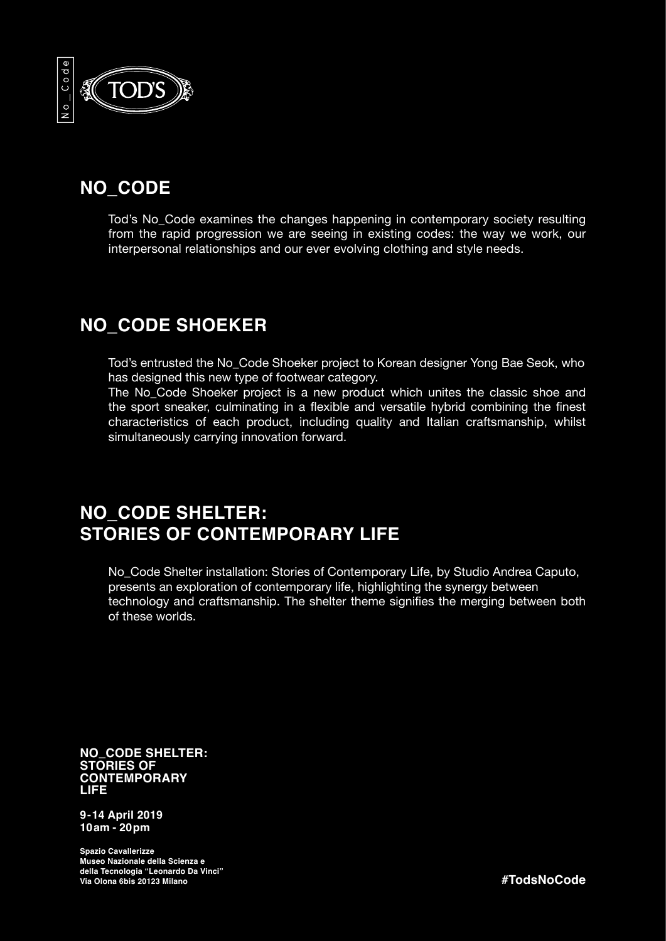

## **NO\_CODE**

Tod's No\_Code examines the changes happening in contemporary society resulting from the rapid progression we are seeing in existing codes: the way we work, our interpersonal relationships and our ever evolving clothing and style needs.

## **NO\_CODE SHOEKER**

Tod's entrusted the No\_Code Shoeker project to Korean designer Yong Bae Seok, who has designed this new type of footwear category.

The No\_Code Shoeker project is a new product which unites the classic shoe and the sport sneaker, culminating in a flexible and versatile hybrid combining the finest characteristics of each product, including quality and Italian craftsmanship, whilst simultaneously carrying innovation forward.

## **NO\_CODE SHELTER: STORIES OF CONTEMPORARY LIFE**

No\_Code Shelter installation: Stories of Contemporary Life, by Studio Andrea Caputo, presents an exploration of contemporary life, highlighting the synergy between technology and craftsmanship. The shelter theme signifies the merging between both of these worlds.

**NO\_CODE SHELTER: STORIES OF CONTEMPORARY LIFE**

**9-14 April 2019 10am - 20pm** 

**Spazio Cavallerizze Museo Nazionale della Scienza e della Tecnologia "Leonardo Da Vinci" Via Olona 6bis 20123 Milano**